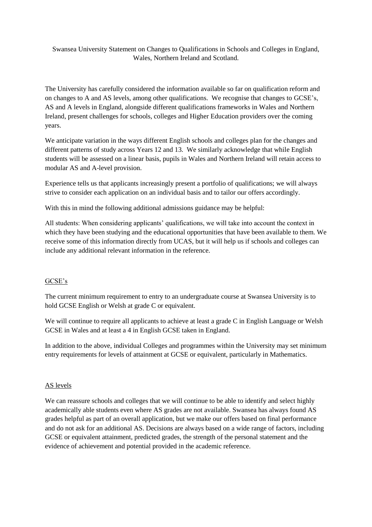Swansea University Statement on Changes to Qualifications in Schools and Colleges in England, Wales, Northern Ireland and Scotland.

The University has carefully considered the information available so far on qualification reform and on changes to A and AS levels, among other qualifications. We recognise that changes to GCSE's, AS and A levels in England, alongside different qualifications frameworks in Wales and Northern Ireland, present challenges for schools, colleges and Higher Education providers over the coming years.

We anticipate variation in the ways different English schools and colleges plan for the changes and different patterns of study across Years 12 and 13. We similarly acknowledge that while English students will be assessed on a linear basis, pupils in Wales and Northern Ireland will retain access to modular AS and A-level provision.

Experience tells us that applicants increasingly present a portfolio of qualifications; we will always strive to consider each application on an individual basis and to tailor our offers accordingly.

With this in mind the following additional admissions guidance may be helpful:

All students: When considering applicants' qualifications, we will take into account the context in which they have been studying and the educational opportunities that have been available to them. We receive some of this information directly from UCAS, but it will help us if schools and colleges can include any additional relevant information in the reference.

## GCSE's

The current minimum requirement to entry to an undergraduate course at Swansea University is to hold GCSE English or Welsh at grade C or equivalent.

We will continue to require all applicants to achieve at least a grade C in English Language or Welsh GCSE in Wales and at least a 4 in English GCSE taken in England.

In addition to the above, individual Colleges and programmes within the University may set minimum entry requirements for levels of attainment at GCSE or equivalent, particularly in Mathematics.

## AS levels

We can reassure schools and colleges that we will continue to be able to identify and select highly academically able students even where AS grades are not available. Swansea has always found AS grades helpful as part of an overall application, but we make our offers based on final performance and do not ask for an additional AS. Decisions are always based on a wide range of factors, including GCSE or equivalent attainment, predicted grades, the strength of the personal statement and the evidence of achievement and potential provided in the academic reference.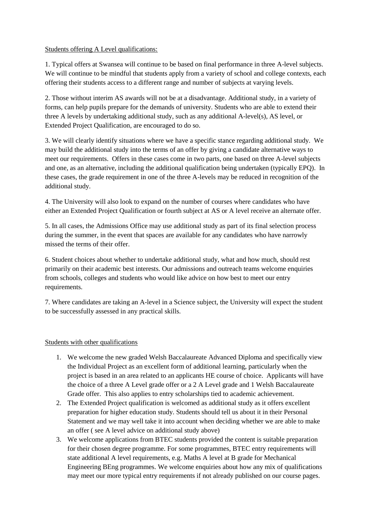## Students offering A Level qualifications:

1. Typical offers at Swansea will continue to be based on final performance in three A-level subjects. We will continue to be mindful that students apply from a variety of school and college contexts, each offering their students access to a different range and number of subjects at varying levels.

2. Those without interim AS awards will not be at a disadvantage. Additional study, in a variety of forms, can help pupils prepare for the demands of university. Students who are able to extend their three A levels by undertaking additional study, such as any additional A-level(s), AS level, or Extended Project Qualification, are encouraged to do so.

3. We will clearly identify situations where we have a specific stance regarding additional study. We may build the additional study into the terms of an offer by giving a candidate alternative ways to meet our requirements. Offers in these cases come in two parts, one based on three A-level subjects and one, as an alternative, including the additional qualification being undertaken (typically EPQ). In these cases, the grade requirement in one of the three A-levels may be reduced in recognition of the additional study.

4. The University will also look to expand on the number of courses where candidates who have either an Extended Project Qualification or fourth subject at AS or A level receive an alternate offer.

5. In all cases, the Admissions Office may use additional study as part of its final selection process during the summer, in the event that spaces are available for any candidates who have narrowly missed the terms of their offer.

6. Student choices about whether to undertake additional study, what and how much, should rest primarily on their academic best interests. Our admissions and outreach teams welcome enquiries from schools, colleges and students who would like advice on how best to meet our entry requirements.

7. Where candidates are taking an A-level in a Science subject, the University will expect the student to be successfully assessed in any practical skills.

## Students with other qualifications

- 1. We welcome the new graded Welsh Baccalaureate Advanced Diploma and specifically view the Individual Project as an excellent form of additional learning, particularly when the project is based in an area related to an applicants HE course of choice. Applicants will have the choice of a three A Level grade offer or a 2 A Level grade and 1 Welsh Baccalaureate Grade offer. This also applies to entry scholarships tied to academic achievement.
- 2. The Extended Project qualification is welcomed as additional study as it offers excellent preparation for higher education study. Students should tell us about it in their Personal Statement and we may well take it into account when deciding whether we are able to make an offer ( see A level advice on additional study above)
- 3. We welcome applications from BTEC students provided the content is suitable preparation for their chosen degree programme. For some programmes, BTEC entry requirements will state additional A level requirements, e.g. Maths A level at B grade for Mechanical Engineering BEng programmes. We welcome enquiries about how any mix of qualifications may meet our more typical entry requirements if not already published on our course pages.